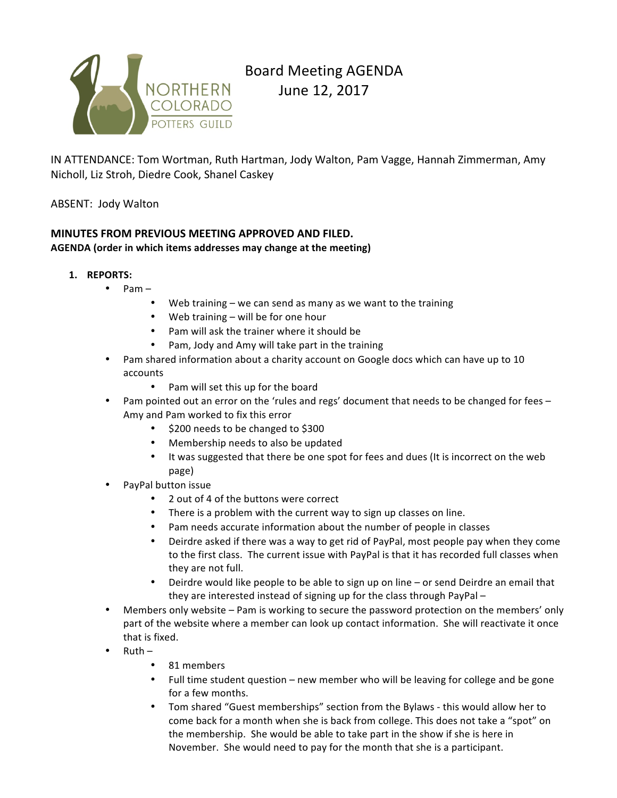

# Board Meeting AGENDA

June 12, 2017

IN ATTENDANCE: Tom Wortman, Ruth Hartman, Jody Walton, Pam Vagge, Hannah Zimmerman, Amy Nicholl, Liz Stroh, Diedre Cook, Shanel Caskey

# ABSENT: Jody Walton

#### **MINUTES FROM PREVIOUS MEETING APPROVED AND FILED. AGENDA** (order in which items addresses may change at the meeting)

- **1. REPORTS:**
	- $\bullet$  Pam
		- Web training  $-$  we can send as many as we want to the training
		- Web training  $-$  will be for one hour
		- Pam will ask the trainer where it should be
		- Pam, Jody and Amy will take part in the training
	- Pam shared information about a charity account on Google docs which can have up to 10 accounts
		- Pam will set this up for the board
	- Pam pointed out an error on the 'rules and regs' document that needs to be changed for fees Amy and Pam worked to fix this error
		- \$200 needs to be changed to \$300
		- Membership needs to also be updated
		- It was suggested that there be one spot for fees and dues (It is incorrect on the web page)
	- PayPal button issue
		- 2 out of 4 of the buttons were correct
		- There is a problem with the current way to sign up classes on line.
		- Pam needs accurate information about the number of people in classes
		- Deirdre asked if there was a way to get rid of PayPal, most people pay when they come to the first class. The current issue with PayPal is that it has recorded full classes when they are not full.
		- Deirdre would like people to be able to sign up on line  $-$  or send Deirdre an email that they are interested instead of signing up for the class through PayPal -
	- Members only website Pam is working to secure the password protection on the members' only part of the website where a member can look up contact information. She will reactivate it once that is fixed.
	- $Ruth -$ 
		- 81 members
		- Full time student question new member who will be leaving for college and be gone for a few months.
		- Tom shared "Guest memberships" section from the Bylaws this would allow her to come back for a month when she is back from college. This does not take a "spot" on the membership. She would be able to take part in the show if she is here in November. She would need to pay for the month that she is a participant.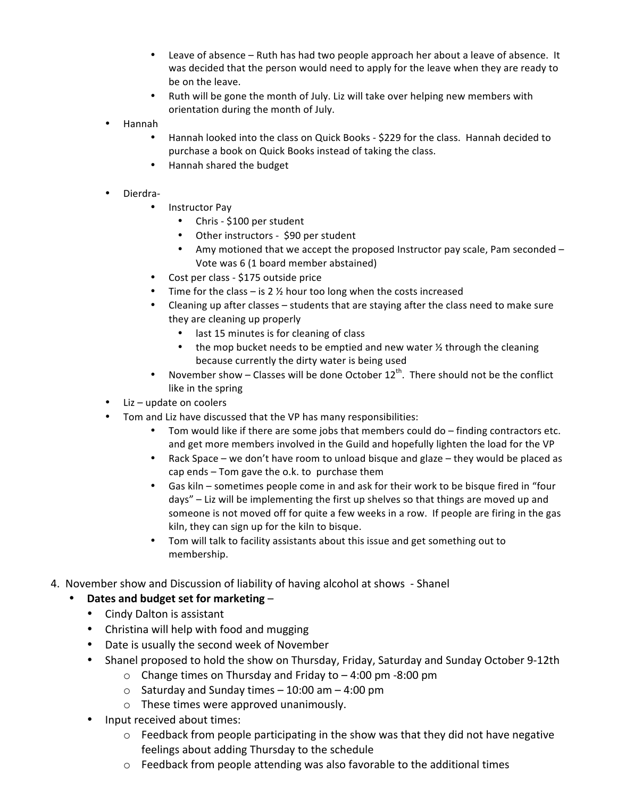- Leave of absence Ruth has had two people approach her about a leave of absence. It was decided that the person would need to apply for the leave when they are ready to be on the leave.
- Ruth will be gone the month of July. Liz will take over helping new members with orientation during the month of July.
- Hannah
	- Hannah looked into the class on Quick Books \$229 for the class. Hannah decided to purchase a book on Quick Books instead of taking the class.
	- Hannah shared the budget
- Dierdra-
	- Instructor Pay
		- Chris \$100 per student
		- Other instructors \$90 per student
		- Amy motioned that we accept the proposed Instructor pay scale, Pam seconded -Vote was 6 (1 board member abstained)
	- Cost per class \$175 outside price
	- Time for the class is 2  $\frac{1}{2}$  hour too long when the costs increased
	- Cleaning up after classes students that are staying after the class need to make sure they are cleaning up properly
		- last 15 minutes is for cleaning of class
		- the mop bucket needs to be emptied and new water  $\frac{1}{2}$  through the cleaning because currently the dirty water is being used
	- November show Classes will be done October  $12^{th}$ . There should not be the conflict like in the spring
- $Liz update$  on coolers
- Tom and Liz have discussed that the VP has many responsibilities:
	- Tom would like if there are some jobs that members could  $do$  finding contractors etc. and get more members involved in the Guild and hopefully lighten the load for the VP
	- Rack Space we don't have room to unload bisque and glaze they would be placed as cap ends  $-$  Tom gave the o.k. to purchase them
	- Gas kiln sometimes people come in and ask for their work to be bisque fired in "four days"  $-$  Liz will be implementing the first up shelves so that things are moved up and someone is not moved off for quite a few weeks in a row. If people are firing in the gas kiln, they can sign up for the kiln to bisque.
	- Tom will talk to facility assistants about this issue and get something out to membership.
- 4. November show and Discussion of liability of having alcohol at shows Shanel

# • Dates and budget set for marketing -

- Cindy Dalton is assistant
- Christina will help with food and mugging
- Date is usually the second week of November
- Shanel proposed to hold the show on Thursday, Friday, Saturday and Sunday October 9-12th
	- $\circ$  Change times on Thursday and Friday to  $-$  4:00 pm -8:00 pm
	- $\circ$  Saturday and Sunday times  $-$  10:00 am  $-$  4:00 pm
	- $\circ$  These times were approved unanimously.
- Input received about times:
	- $\circ$  Feedback from people participating in the show was that they did not have negative feelings about adding Thursday to the schedule
	- $\circ$  Feedback from people attending was also favorable to the additional times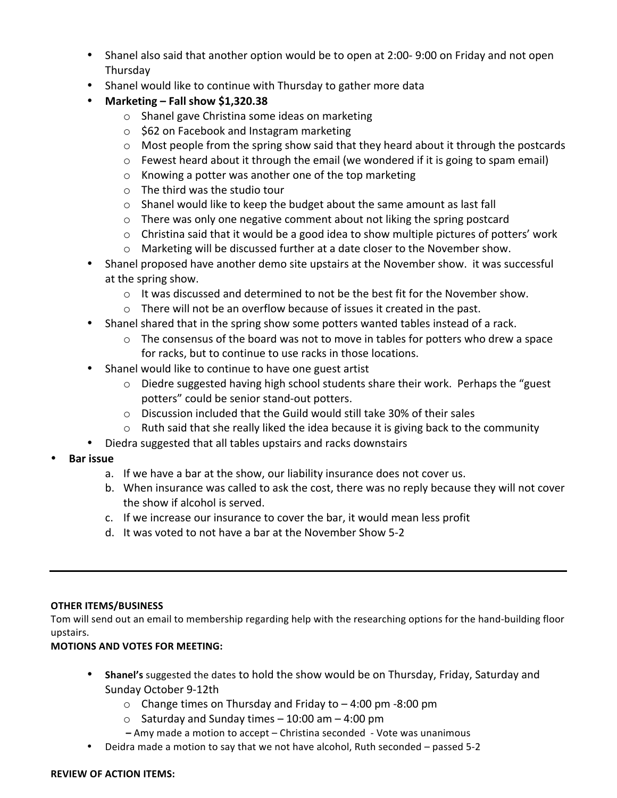- Shanel also said that another option would be to open at 2:00-9:00 on Friday and not open Thursday
- Shanel would like to continue with Thursday to gather more data
- **Marketing – Fall show \$1,320.38**
	- $\circ$  Shanel gave Christina some ideas on marketing
	- $\circ$  \$62 on Facebook and Instagram marketing
	- $\circ$  Most people from the spring show said that they heard about it through the postcards
	- $\circ$  Fewest heard about it through the email (we wondered if it is going to spam email)
	- $\circ$  Knowing a potter was another one of the top marketing
	- $\circ$  The third was the studio tour
	- $\circ$  Shanel would like to keep the budget about the same amount as last fall
	- $\circ$  There was only one negative comment about not liking the spring postcard
	- $\circ$  Christina said that it would be a good idea to show multiple pictures of potters' work
	- o Marketing will be discussed further at a date closer to the November show.
- Shanel proposed have another demo site upstairs at the November show. It was successful at the spring show.
	- $\circ$  It was discussed and determined to not be the best fit for the November show.
	- $\circ$  There will not be an overflow because of issues it created in the past.
- Shanel shared that in the spring show some potters wanted tables instead of a rack.
	- $\circ$  The consensus of the board was not to move in tables for potters who drew a space for racks, but to continue to use racks in those locations.
- Shanel would like to continue to have one guest artist
	- $\circ$  Diedre suggested having high school students share their work. Perhaps the "guest" potters" could be senior stand-out potters.
	- $\circ$  Discussion included that the Guild would still take 30% of their sales
	- $\circ$  Ruth said that she really liked the idea because it is giving back to the community
- Diedra suggested that all tables upstairs and racks downstairs
- **Bar issue**
	- a. If we have a bar at the show, our liability insurance does not cover us.
	- b. When insurance was called to ask the cost, there was no reply because they will not cover the show if alcohol is served.
	- c. If we increase our insurance to cover the bar, it would mean less profit
	- d. It was voted to not have a bar at the November Show 5-2

# **OTHER ITEMS/BUSINESS**

Tom will send out an email to membership regarding help with the researching options for the hand-building floor upstairs.

# **MOTIONS AND VOTES FOR MEETING:**

- **Shanel's** suggested the dates to hold the show would be on Thursday, Friday, Saturday and Sunday October 9-12th
	- $\circ$  Change times on Thursday and Friday to  $-$  4:00 pm -8:00 pm
	- $\circ$  Saturday and Sunday times 10:00 am 4:00 pm
	- **–** Amy made a motion to accept Christina seconded Vote was unanimous
- Deidra made a motion to say that we not have alcohol, Ruth seconded passed 5-2